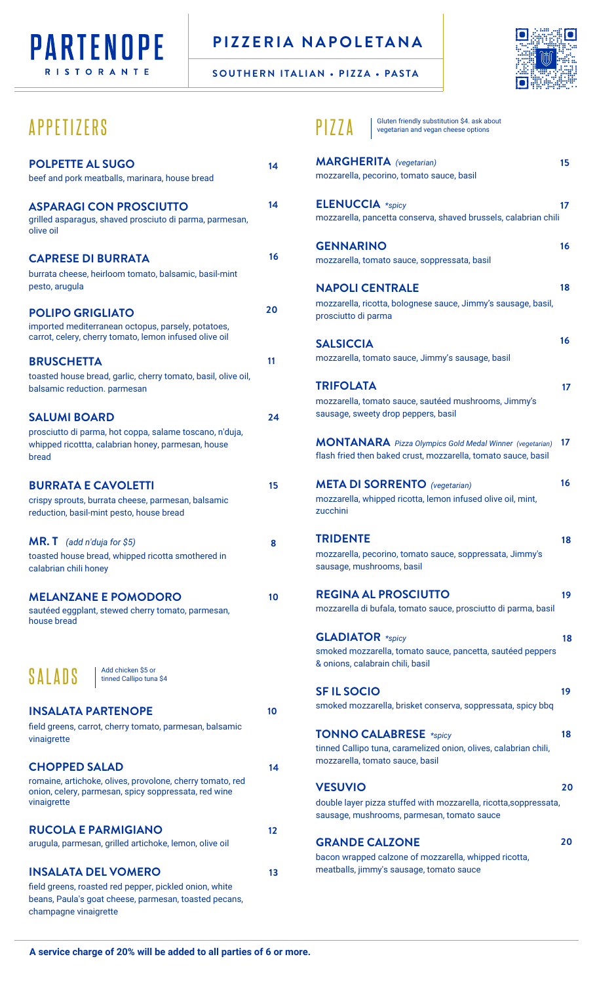

## **PIZZERIA NAPOLETANA**

**SOUTHERN ITALIAN • PIZZA • PASTA**



## APPETIZERS

| <b>POLPETTE AL SUGO</b><br>beef and pork meatballs, marinara, house bread                                                                                              | 14 |
|------------------------------------------------------------------------------------------------------------------------------------------------------------------------|----|
| <b>ASPARAGI CON PROSCIUTTO</b><br>grilled asparagus, shaved prosciuto di parma, parmesan,<br>olive oil                                                                 | 14 |
| <b>CAPRESE DI BURRATA</b><br>burrata cheese, heirloom tomato, balsamic, basil-mint<br>pesto, arugula                                                                   | 16 |
| <b>POLIPO GRIGLIATO</b><br>imported mediterranean octopus, parsely, potatoes,<br>carrot, celery, cherry tomato, lemon infused olive oil                                | 20 |
| <b>BRUSCHETTA</b><br>toasted house bread, garlic, cherry tomato, basil, olive oil,<br>balsamic reduction. parmesan                                                     | 11 |
| <b>SALUMI BOARD</b><br>prosciutto di parma, hot coppa, salame toscano, n'duja,<br>whipped ricottta, calabrian honey, parmesan, house<br>bread                          | 24 |
| <b>BURRATA E CAVOLETTI</b><br>crispy sprouts, burrata cheese, parmesan, balsamic<br>reduction, basil-mint pesto, house bread                                           | 15 |
| $MR.T$ (add n'duja for \$5)<br>toasted house bread, whipped ricotta smothered in<br>calabrian chili honey                                                              | 8  |
| <b>MELANZANE E POMODORO</b><br>sautéed eggplant, stewed cherry tomato, parmesan,<br>house bread                                                                        | 10 |
| Add chicken \$5 or<br>SALADS<br>tinned Callipo tuna \$4                                                                                                                |    |
| <b>INSALATA PARTENOPE</b><br>field greens, carrot, cherry tomato, parmesan, balsamic<br>vinaigrette                                                                    | 10 |
| <b>CHOPPED SALAD</b><br>romaine, artichoke, olives, provolone, cherry tomato, red<br>onion, celery, parmesan, spicy soppressata, red wine<br>vinaigrette               | 14 |
| <b>RUCOLA E PARMIGIANO</b><br>arugula, parmesan, grilled artichoke, lemon, olive oil                                                                                   | 12 |
| <b>INSALATA DEL VOMERO</b><br>field greens, roasted red pepper, pickled onion, white<br>beans, Paula's goat cheese, parmesan, toasted pecans,<br>champagne vinaigrette | 13 |

| Gluten friendly substitution \$4. ask about<br>PIZZA<br>vegetarian and vegan cheese options                                          |    |
|--------------------------------------------------------------------------------------------------------------------------------------|----|
| <b>MARGHERITA</b> (vegetarian)<br>mozzarella, pecorino, tomato sauce, basil                                                          | 15 |
| <b>ELENUCCIA</b> *spicy<br>mozzarella, pancetta conserva, shaved brussels, calabrian chili                                           | 17 |
| <b>GENNARINO</b><br>mozzarella, tomato sauce, soppressata, basil                                                                     | 16 |
| <b>NAPOLI CENTRALE</b><br>mozzarella, ricotta, bolognese sauce, Jimmy's sausage, basil,<br>prosciutto di parma                       | 18 |
| <b>SALSICCIA</b><br>mozzarella, tomato sauce, Jimmy's sausage, basil                                                                 | 16 |
| TRIFOLATA<br>mozzarella, tomato sauce, sautéed mushrooms, Jimmy's<br>sausage, sweety drop peppers, basil                             | 17 |
| MONTANARA Pizza Olympics Gold Medal Winner (vegetarian)<br>flash fried then baked crust, mozzarella, tomato sauce, basil             | 17 |
| <b>META DI SORRENTO</b> (vegetarian)<br>mozzarella, whipped ricotta, lemon infused olive oil, mint,<br>zucchini                      | 16 |
| <b>TRIDENTE</b><br>mozzarella, pecorino, tomato sauce, soppressata, Jimmy's<br>sausage, mushrooms, basil                             | 18 |
| <b>REGINA AL PROSCIUTTO</b><br>mozzarella di bufala, tomato sauce, prosciutto di parma, basil                                        | 19 |
| <b>GLADIATOR</b> *spicy<br>smoked mozzarella, tomato sauce, pancetta, sautéed peppers<br>& onions, calabrain chili, basil            | 18 |
| <b>SFIL SOCIO</b><br>smoked mozzarella, brisket conserva, soppressata, spicy bbq                                                     | 19 |
| <b>TONNO CALABRESE</b> *spicy<br>tinned Callipo tuna, caramelized onion, olives, calabrian chili,<br>mozzarella, tomato sauce, basil | 18 |
| <b>VESUVIO</b><br>double layer pizza stuffed with mozzarella, ricotta,soppressata,<br>sausage, mushrooms, parmesan, tomato sauce     | 20 |
| <b>GRANDE CALZONE</b><br>bacon wrapped calzone of mozzarella, whipped ricotta,                                                       | 20 |

meatballs, jimmy's sausage, tomato sauce